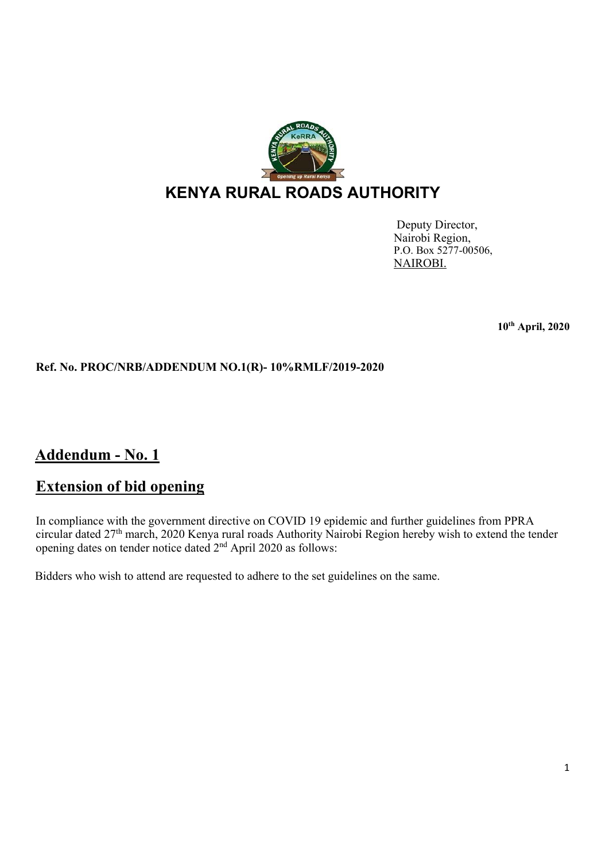

## **KENYA RURAL ROADS AUTHORITY**

Deputy Director, Nairobi Region, P.O. Box 5277-00506, NAIROBI.

**10th April, 2020** 

## **Ref. No. PROC/NRB/ADDENDUM NO.1(R)- 10%RMLF/2019-2020**

## **Addendum - No. 1**

## **Extension of bid opening**

In compliance with the government directive on COVID 19 epidemic and further guidelines from PPRA circular dated 27th march, 2020 Kenya rural roads Authority Nairobi Region hereby wish to extend the tender opening dates on tender notice dated  $2<sup>nd</sup>$  April 2020 as follows:

Bidders who wish to attend are requested to adhere to the set guidelines on the same.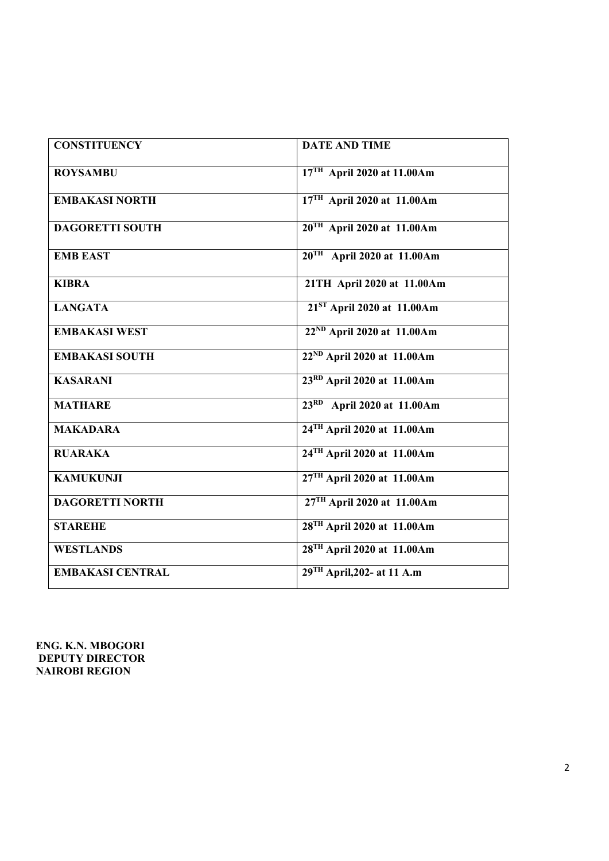| <b>CONSTITUENCY</b>     | <b>DATE AND TIME</b>                   |
|-------------------------|----------------------------------------|
| <b>ROYSAMBU</b>         | $17TH$ April 2020 at 11.00Am           |
| <b>EMBAKASI NORTH</b>   | $17TH$ April 2020 at 11.00Am           |
| <b>DAGORETTI SOUTH</b>  | $20TH$ April 2020 at 11.00Am           |
| <b>EMB EAST</b>         | $20^{TH}$ April 2020 at 11.00Am        |
| <b>KIBRA</b>            | 21TH April 2020 at 11.00Am             |
| <b>LANGATA</b>          | $21ST$ April 2020 at 11.00Am           |
| <b>EMBAKASI WEST</b>    | 22 <sup>ND</sup> April 2020 at 11.00Am |
| <b>EMBAKASI SOUTH</b>   | 22 <sup>ND</sup> April 2020 at 11.00Am |
| <b>KASARANI</b>         | 23RD April 2020 at 11.00Am             |
| <b>MATHARE</b>          | 23RD April 2020 at 11.00Am             |
| <b>MAKADARA</b>         | 24 <sup>TH</sup> April 2020 at 11.00Am |
| <b>RUARAKA</b>          | 24 <sup>TH</sup> April 2020 at 11.00Am |
| <b>KAMUKUNJI</b>        | 27TH April 2020 at 11.00Am             |
| <b>DAGORETTI NORTH</b>  | 27TH April 2020 at 11.00Am             |
| <b>STAREHE</b>          | 28 <sup>TH</sup> April 2020 at 11.00Am |
| <b>WESTLANDS</b>        | 28 <sup>TH</sup> April 2020 at 11.00Am |
| <b>EMBAKASI CENTRAL</b> | $29TH$ April, 202- at 11 A.m           |

**ENG. K.N. MBOGORI DEPUTY DIRECTOR NAIROBI REGION**